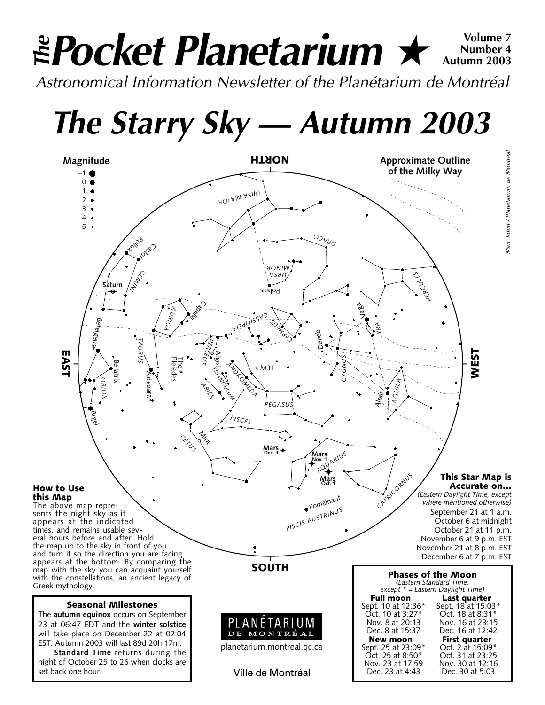# *Pocket Planetarium* ★ **Volume 7** *Astronomical Information Newsletter of the Planétarium de Montréal The* **Number 4 Autumn 2003**

*The Starry Sky — Autumn 2003*